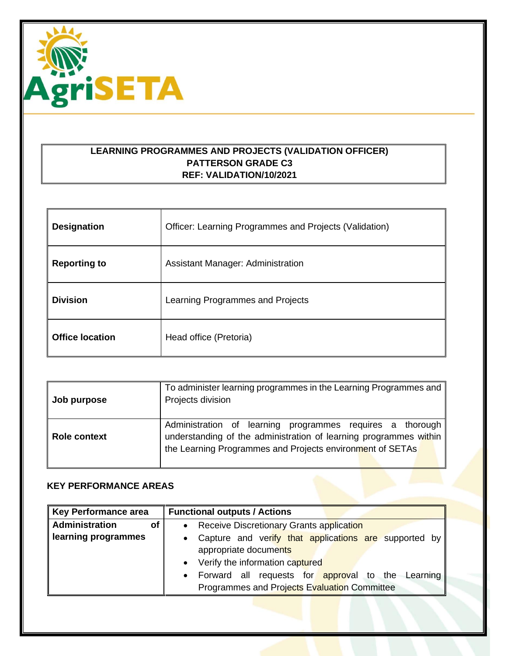

## **LEARNING PROGRAMMES AND PROJECTS (VALIDATION OFFICER) PATTERSON GRADE C3 REF: VALIDATION/10/2021**

| <b>Designation</b>     | Officer: Learning Programmes and Projects (Validation) |
|------------------------|--------------------------------------------------------|
| <b>Reporting to</b>    | Assistant Manager: Administration                      |
| <b>Division</b>        | Learning Programmes and Projects                       |
| <b>Office location</b> | Head office (Pretoria)                                 |

| Job purpose  | To administer learning programmes in the Learning Programmes and<br>Projects division                                                                                                       |
|--------------|---------------------------------------------------------------------------------------------------------------------------------------------------------------------------------------------|
| Role context | Administration of learning programmes requires a thorough<br>understanding of the administration of learning programmes within<br>the Learning Programmes and Projects environment of SETAs |

## **KEY PERFORMANCE AREAS**

| <b>Key Performance area</b> | <b>Functional outputs / Actions</b>                                |
|-----------------------------|--------------------------------------------------------------------|
| <b>Administration</b><br>Οf | Receive Discretionary Grants application<br>$\bullet$              |
| learning programmes         | Capture and verify that applications are supported by<br>$\bullet$ |
|                             | appropriate documents                                              |
|                             | Verify the information captured<br>$\bullet$                       |
|                             | Forward all requests for approval to the Learning<br>$\bullet$     |
|                             | Programmes and Projects Evaluation Committee                       |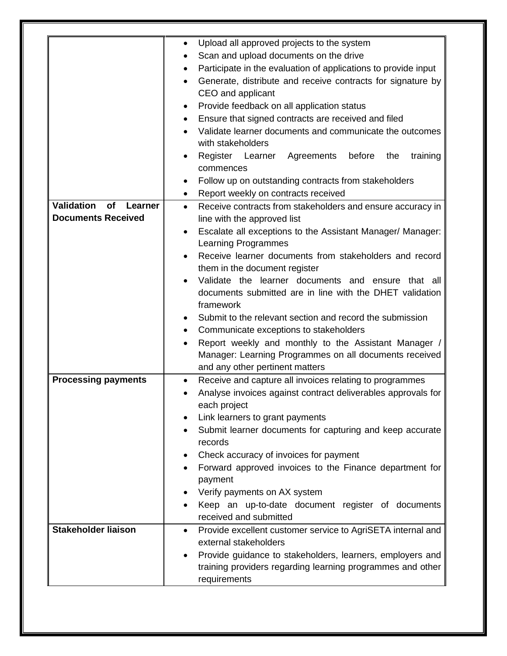| Validation<br>of<br>Learner<br><b>Documents Received</b> | Upload all approved projects to the system<br>٠<br>Scan and upload documents on the drive<br>Participate in the evaluation of applications to provide input<br>Generate, distribute and receive contracts for signature by<br>CEO and applicant<br>Provide feedback on all application status<br>Ensure that signed contracts are received and filed<br>$\bullet$<br>Validate learner documents and communicate the outcomes<br>with stakeholders<br>training<br>Register Learner Agreements<br>before<br>the<br>commences<br>Follow up on outstanding contracts from stakeholders<br>Report weekly on contracts received<br>$\bullet$<br>Receive contracts from stakeholders and ensure accuracy in<br>$\bullet$<br>line with the approved list<br>Escalate all exceptions to the Assistant Manager/ Manager:<br>$\bullet$<br><b>Learning Programmes</b><br>Receive learner documents from stakeholders and record |
|----------------------------------------------------------|---------------------------------------------------------------------------------------------------------------------------------------------------------------------------------------------------------------------------------------------------------------------------------------------------------------------------------------------------------------------------------------------------------------------------------------------------------------------------------------------------------------------------------------------------------------------------------------------------------------------------------------------------------------------------------------------------------------------------------------------------------------------------------------------------------------------------------------------------------------------------------------------------------------------|
|                                                          | them in the document register<br>Validate the learner documents and ensure that all<br>documents submitted are in line with the DHET validation<br>framework<br>Submit to the relevant section and record the submission<br>Communicate exceptions to stakeholders<br>٠<br>Report weekly and monthly to the Assistant Manager /<br>Manager: Learning Programmes on all documents received<br>and any other pertinent matters                                                                                                                                                                                                                                                                                                                                                                                                                                                                                        |
| <b>Processing payments</b>                               | Receive and capture all invoices relating to programmes<br>$\bullet$<br>Analyse invoices against contract deliverables approvals for<br>each project<br>Link learners to grant payments<br>Submit learner documents for capturing and keep accurate<br>records<br>Check accuracy of invoices for payment<br>Forward approved invoices to the Finance department for<br>payment<br>Verify payments on AX system<br>Keep an up-to-date document register of documents<br>received and submitted                                                                                                                                                                                                                                                                                                                                                                                                                       |
| <b>Stakeholder liaison</b>                               | Provide excellent customer service to AgriSETA internal and<br>$\bullet$<br>external stakeholders<br>Provide guidance to stakeholders, learners, employers and<br>$\bullet$<br>training providers regarding learning programmes and other<br>requirements                                                                                                                                                                                                                                                                                                                                                                                                                                                                                                                                                                                                                                                           |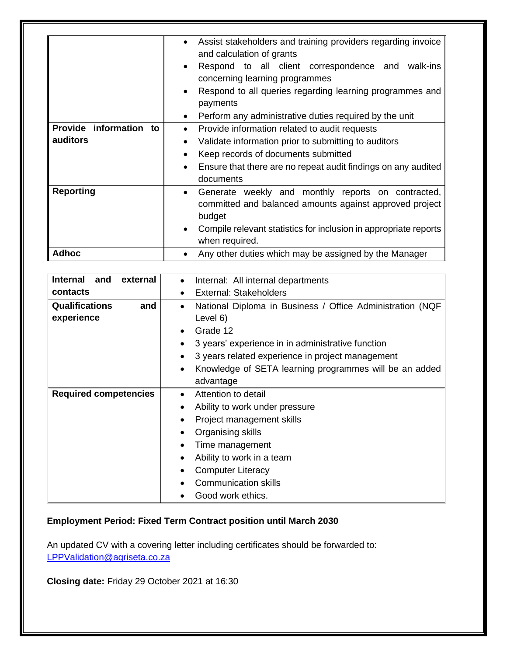|                        | Assist stakeholders and training providers regarding invoice<br>$\bullet$<br>and calculation of grants<br>Respond to all client correspondence and<br>walk-ins<br>$\bullet$ |
|------------------------|-----------------------------------------------------------------------------------------------------------------------------------------------------------------------------|
|                        | concerning learning programmes                                                                                                                                              |
|                        | Respond to all queries regarding learning programmes and<br>$\bullet$<br>payments                                                                                           |
|                        | Perform any administrative duties required by the unit<br>$\bullet$                                                                                                         |
| Provide information to | Provide information related to audit requests<br>$\bullet$                                                                                                                  |
| auditors               | Validate information prior to submitting to auditors<br>٠                                                                                                                   |
|                        | Keep records of documents submitted<br>$\bullet$                                                                                                                            |
|                        | Ensure that there are no repeat audit findings on any audited<br>$\bullet$<br>documents                                                                                     |
| <b>Reporting</b>       | Generate weekly and monthly reports on contracted,<br>$\bullet$<br>committed and balanced amounts against approved project<br>budget                                        |
|                        | Compile relevant statistics for inclusion in appropriate reports<br>$\bullet$<br>when required.                                                                             |
| <b>Adhoc</b>           | Any other duties which may be assigned by the Manager                                                                                                                       |

| <b>Internal</b><br>external<br>and | Internal: All internal departments<br>$\bullet$                     |
|------------------------------------|---------------------------------------------------------------------|
| contacts                           | External: Stakeholders<br>$\bullet$                                 |
| <b>Qualifications</b><br>and       | National Diploma in Business / Office Administration (NQF<br>٠      |
| experience                         | Level 6)                                                            |
|                                    | Grade 12<br>$\bullet$                                               |
|                                    | 3 years' experience in in administrative function<br>٠              |
|                                    | 3 years related experience in project management<br>$\bullet$       |
|                                    | Knowledge of SETA learning programmes will be an added<br>$\bullet$ |
|                                    | advantage                                                           |
| <b>Required competencies</b>       | Attention to detail<br>$\bullet$                                    |
|                                    | Ability to work under pressure<br>٠                                 |
|                                    | Project management skills<br>٠                                      |
|                                    | Organising skills<br>$\bullet$                                      |
|                                    | Time management<br>$\bullet$                                        |
|                                    | Ability to work in a team<br>$\bullet$                              |
|                                    | <b>Computer Literacy</b><br>$\bullet$                               |
|                                    | <b>Communication skills</b>                                         |
|                                    | Good work ethics.                                                   |

# **Employment Period: Fixed Term Contract position until March 2030**

An updated CV with a covering letter including certificates should be forwarded to: [LPPValidation@agriseta.co.za](mailto:LPPValidation@agriseta.co.za)

**Closing date:** Friday 29 October 2021 at 16:30